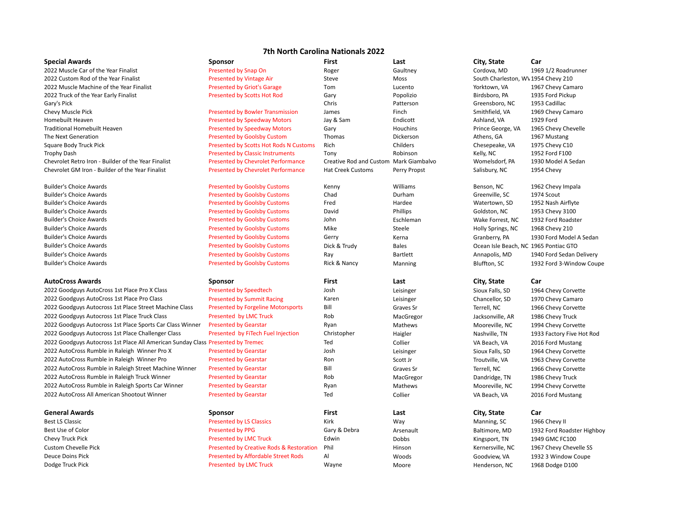# **7th North Carolina Nationals 2022**

| <b>Special Awards</b>                                                           | Sponsor                                             | <b>First</b>                           | Last         | City, State                           | Car                        |
|---------------------------------------------------------------------------------|-----------------------------------------------------|----------------------------------------|--------------|---------------------------------------|----------------------------|
| 2022 Muscle Car of the Year Finalist                                            | Presented by Snap On                                | Roger                                  | Gaultney     | Cordova, MD                           | 1969 1/2 Roadrunner        |
| 2022 Custom Rod of the Year Finalist                                            | <b>Presented by Vintage Air</b>                     | Steve                                  | Moss         | South Charleston, WV 1954 Chevy 210   |                            |
| 2022 Muscle Machine of the Year Finalist                                        | <b>Presented by Griot's Garage</b>                  | Tom                                    | Lucento      | Yorktown, VA                          | 1967 Chevy Camaro          |
| 2022 Truck of the Year Early Finalist                                           | <b>Presented by Scotts Hot Rod</b>                  | Gary                                   | Popolizio    | Birdsboro, PA                         | 1935 Ford Pickup           |
| Gary's Pick                                                                     |                                                     | Chris                                  | Patterson    | Greensboro, NC                        | 1953 Cadillac              |
| Chevy Muscle Pick                                                               | <b>Presented by Bowler Transmission</b>             | James                                  | Finch        | Smithfield, VA                        | 1969 Chevy Camaro          |
| Homebuilt Heaven                                                                | <b>Presented by Speedway Motors</b>                 | Jay & Sam                              | Endicott     | Ashland, VA                           | 1929 Ford                  |
| <b>Traditional Homebuilt Heaven</b>                                             | <b>Presented by Speedway Motors</b>                 | Gary                                   | Houchins     | Prince George, VA                     | 1965 Chevy Chevelle        |
| The Next Generation                                                             | <b>Presented by Goolsby Custom</b>                  | Thomas                                 | Dickerson    | Athens, GA                            | 1967 Mustang               |
| Square Body Truck Pick                                                          | <b>Presented by Scotts Hot Rods N Customs</b>       | Rich                                   | Childers     | Chesepeake, VA                        | 1975 Chevy C10             |
| <b>Trophy Dash</b>                                                              | <b>Presented by Classic Instruments</b>             | Tony                                   | Robinson     | Kelly, NC                             | 1952 Ford F100             |
| Chevrolet Retro Iron - Builder of the Year Finalist                             | <b>Presented by Chevrolet Performance</b>           | Creative Rod and Custom Mark Giambalvo |              | Womelsdorf, PA                        | 1930 Model A Sedan         |
| Chevrolet GM Iron - Builder of the Year Finalist                                | <b>Presented by Chevrolet Performance</b>           | <b>Hat Creek Customs</b>               | Perry Propst | Salisbury, NC                         | 1954 Chevy                 |
| <b>Builder's Choice Awards</b>                                                  | <b>Presented by Goolsby Customs</b>                 | Kenny                                  | Williams     | Benson, NC                            | 1962 Chevy Impala          |
| <b>Builder's Choice Awards</b>                                                  | <b>Presented by Goolsby Customs</b>                 | Chad                                   | Durham       | Greenville, SC                        | 1974 Scout                 |
| <b>Builder's Choice Awards</b>                                                  | <b>Presented by Goolsby Customs</b>                 | Fred                                   | Hardee       | Watertown, SD                         | 1952 Nash Airflyte         |
| <b>Builder's Choice Awards</b>                                                  | <b>Presented by Goolsby Customs</b>                 | David                                  | Phillips     | Goldston, NC                          | 1953 Chevy 3100            |
| <b>Builder's Choice Awards</b>                                                  | <b>Presented by Goolsby Customs</b>                 | John                                   | Eschleman    | Wake Forrest, NC                      | 1932 Ford Roadster         |
| <b>Builder's Choice Awards</b>                                                  | <b>Presented by Goolsby Customs</b>                 | Mike                                   | Steele       | Holly Springs, NC                     | 1968 Chevy 210             |
| <b>Builder's Choice Awards</b>                                                  | <b>Presented by Goolsby Customs</b>                 | Gerry                                  | Kerna        | Granberry, PA                         | 1930 Ford Model A Sedan    |
| <b>Builder's Choice Awards</b>                                                  | <b>Presented by Goolsby Customs</b>                 | Dick & Trudy                           | <b>Bales</b> | Ocean Isle Beach, NC 1965 Pontiac GTO |                            |
| <b>Builder's Choice Awards</b>                                                  | <b>Presented by Goolsby Customs</b>                 | Ray                                    | Bartlett     | Annapolis, MD                         | 1940 Ford Sedan Delivery   |
| <b>Builder's Choice Awards</b>                                                  | <b>Presented by Goolsby Customs</b>                 | Rick & Nancy                           | Manning      | Bluffton, SC                          | 1932 Ford 3-Window Coupe   |
| <b>AutoCross Awards</b>                                                         | <b>Sponsor</b>                                      | First                                  | Last         | City, State                           | Car                        |
| 2022 Goodguys AutoCross 1st Place Pro X Class                                   | <b>Presented by Speedtech</b>                       | Josh                                   | Leisinger    | Sioux Falls, SD                       | 1964 Chevy Corvette        |
| 2022 Goodguys AutoCross 1st Place Pro Class                                     | <b>Presented by Summit Racing</b>                   | Karen                                  | Leisinger    | Chancellor, SD                        | 1970 Chevy Camaro          |
| 2022 Goodguys Autocross 1st Place Street Machine Class                          | <b>Presented by Forgeline Motorsports</b>           | Bill                                   | Graves Sr    | Terrell, NC                           | 1966 Chevy Corvette        |
| 2022 Goodguys Autocross 1st Place Truck Class                                   | Presented by LMC Truck                              | Rob                                    | MacGregor    | Jacksonville, AR                      | 1986 Chevy Truck           |
| 2022 Goodguys Autocross 1st Place Sports Car Class Winner                       | <b>Presented by Gearstar</b>                        | Ryan                                   | Mathews      | Mooreville, NC                        | 1994 Chevy Corvette        |
| 2022 Goodguys Autocross 1st Place Challenger Class                              | Presented by FiTech Fuel Injection                  | Christopher                            | Haigler      | Nashville, TN                         | 1933 Factory Five Hot Rod  |
| 2022 Goodguys Autocross 1st Place All American Sunday Class Presented by Tremec |                                                     | Ted                                    | Collier      | VA Beach, VA                          | 2016 Ford Mustang          |
| 2022 AutoCross Rumble in Raleigh Winner Pro X                                   | <b>Presented by Gearstar</b>                        | Josh                                   | Leisinger    | Sioux Falls, SD                       | 1964 Chevy Corvette        |
| 2022 AutoCross Rumble in Raleigh Winner Pro                                     | <b>Presented by Gearstar</b>                        | Ron                                    | Scott Jr     | Troutville, VA                        | 1963 Chevy Corvette        |
| 2022 AutoCross Rumble in Raleigh Street Machine Winner                          | <b>Presented by Gearstar</b>                        | Bill                                   | Graves Sr    | Terrell, NC                           | 1966 Chevy Corvette        |
| 2022 AutoCross Rumble in Raleigh Truck Winner                                   | <b>Presented by Gearstar</b>                        | Rob                                    | MacGregor    | Dandridge, TN                         | 1986 Chevy Truck           |
| 2022 AutoCross Rumble in Raleigh Sports Car Winner                              | <b>Presented by Gearstar</b>                        | Ryan                                   | Mathews      |                                       |                            |
| 2022 AutoCross All American Shootout Winner                                     |                                                     | Ted                                    |              | Mooreville, NC                        | 1994 Chevy Corvette        |
|                                                                                 | <b>Presented by Gearstar</b>                        |                                        | Collier      | VA Beach, VA                          | 2016 Ford Mustang          |
| <b>General Awards</b>                                                           | <b>Sponsor</b>                                      | First                                  | Last         | City, State                           | Car                        |
| <b>Best LS Classic</b>                                                          | <b>Presented by LS Classics</b>                     | Kirk                                   | Way          | Manning, SC                           | 1966 Chevy II              |
| Best Use of Color                                                               | <b>Presented by PPG</b>                             | Gary & Debra                           | Arsenault    | Baltimore, MD                         | 1932 Ford Roadster Highboy |
| Chevy Truck Pick                                                                | <b>Presented by LMC Truck</b>                       | Edwin                                  | Dobbs        | Kingsport, TN                         | 1949 GMC FC100             |
| <b>Custom Chevelle Pick</b>                                                     | <b>Presented by Creative Rods &amp; Restoration</b> | Phil                                   | Hinson       | Kernersville, NC                      | 1967 Chevy Chevelle SS     |
| <b>Deuce Doins Pick</b>                                                         | <b>Presented by Affordable Street Rods</b>          | Al                                     | Woods        | Goodview, VA                          | 1932 3 Window Coupe        |
| Dodge Truck Pick                                                                | Presented by LMC Truck                              | Wayne                                  | Moore        | Henderson, NC                         | 1968 Dodge D100            |

- 
-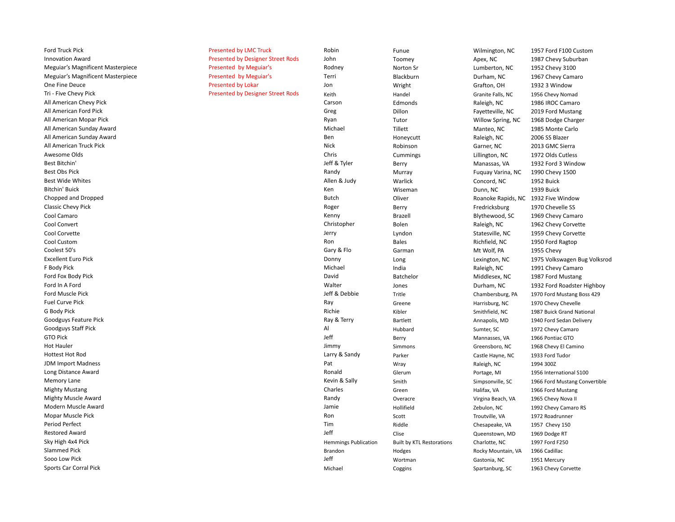| Ford Truck Pick                          | <b>Presented by LMC Truck</b>            | Robin                       | Funue                            | Wilmington, NC     | 1957 Ford F100 Custom         |
|------------------------------------------|------------------------------------------|-----------------------------|----------------------------------|--------------------|-------------------------------|
| <b>Innovation Award</b>                  | <b>Presented by Designer Street Rods</b> | John                        | Toomey                           | Apex, NC           | 1987 Chevy Suburban           |
| <b>Meguiar's Magnificent Masterpiece</b> | Presented by Meguiar's                   | Rodney                      | Norton Sr                        | Lumberton, NC      | 1952 Chevy 3100               |
| <b>Meguiar's Magnificent Masterpiece</b> | Presented by Meguiar's                   | Terri                       | Blackburn                        | Durham, NC         | 1967 Chevy Camaro             |
| One Fine Deuce                           | Presented by Lokar                       | Jon                         | Wright                           | Grafton, OH        | 1932 3 Window                 |
| Tri - Five Chevy Pick                    | <b>Presented by Designer Street Rods</b> | Keith                       | Handel                           | Granite Falls, NC  | 1956 Chevy Nomad              |
| All American Chevy Pick                  |                                          | Carson                      | Edmonds                          | Raleigh, NC        | 1986 IROC Camaro              |
| All American Ford Pick                   |                                          | Greg                        | Dillon                           | Fayetteville, NC   | 2019 Ford Mustang             |
| All American Mopar Pick                  |                                          | Ryan                        | Tutor                            | Willow Spring, NC  | 1968 Dodge Charger            |
| All American Sunday Award                |                                          | Michael                     | Tillett                          | Manteo, NC         | 1985 Monte Carlo              |
| All American Sunday Award                |                                          | Ben                         | Honeycutt                        | Raleigh, NC        | 2006 SS Blazer                |
| All American Truck Pick                  |                                          | <b>Nick</b>                 | Robinson                         | Garner, NC         | 2013 GMC Sierra               |
| Awesome Olds                             |                                          | Chris                       | Cummings                         | Lillington, NC     | 1972 Olds Cutless             |
| Best Bitchin'                            |                                          | Jeff & Tyler                | Berry                            | Manassas, VA       | 1932 Ford 3 Window            |
| <b>Best Obs Pick</b>                     |                                          | Randy                       | Murray                           | Fuguay Varina, NC  | 1990 Chevy 1500               |
| <b>Best Wide Whites</b>                  |                                          | Allen & Judy                | Warlick                          | Concord, NC        | 1952 Buick                    |
| Bitchin' Buick                           |                                          | Ken                         | Wiseman                          | Dunn, NC           | 1939 Buick                    |
| Chopped and Dropped                      |                                          | <b>Butch</b>                | Oliver                           | Roanoke Rapids, NC | 1932 Five Window              |
| <b>Classic Chevy Pick</b>                |                                          | Roger                       | Berry                            | Fredricksburg      | 1970 Chevelle SS              |
| Cool Camaro                              |                                          | Kenny                       | Brazell                          | Blythewood, SC     | 1969 Chevy Camaro             |
| Cool Convert                             |                                          | Christopher                 | Bolen                            | Raleigh, NC        | 1962 Chevy Corvette           |
| Cool Corvette                            |                                          | Jerry                       | Lyndon                           | Statesville, NC    | 1959 Chevy Corvette           |
| Cool Custom                              |                                          | Ron                         | <b>Bales</b>                     | Richfield, NC      | 1950 Ford Ragtop              |
| Coolest 50's                             |                                          | Gary & Flo                  | Garman                           | Mt Wolf, PA        | 1955 Chevy                    |
| <b>Excellent Euro Pick</b>               |                                          | Donny                       | Long                             | Lexington, NC      | 1975 Volkswagen Bug Volksrod  |
| F Body Pick                              |                                          | Michael                     | India                            | Raleigh, NC        | 1991 Chevy Camaro             |
| Ford Fox Body Pick                       |                                          | David                       | Batchelor                        | Middlesex, NC      | 1987 Ford Mustang             |
| Ford In A Ford                           |                                          | Walter                      | Jones                            | Durham, NC         | 1932 Ford Roadster Highboy    |
| Ford Muscle Pick                         |                                          | Jeff & Debbie               | Tritle                           | Chambersburg, PA   | 1970 Ford Mustang Boss 429    |
| <b>Fuel Curve Pick</b>                   |                                          | Ray                         | Greene                           | Harrisburg, NC     | 1970 Chevy Chevelle           |
| G Body Pick                              |                                          | Richie                      | Kibler                           | Smithfield, NC     | 1987 Buick Grand National     |
| Goodguys Feature Pick                    |                                          | Ray & Terry                 | Bartlett                         | Annapolis, MD      | 1940 Ford Sedan Delivery      |
| Goodguys Staff Pick                      |                                          | Al                          | Hubbard                          | Sumter, SC         | 1972 Chevy Camaro             |
| GTO Pick                                 |                                          | Jeff                        | Berry                            | Mannasses, VA      | 1966 Pontiac GTO              |
| <b>Hot Hauler</b>                        |                                          | Jimmy                       | Simmons                          | Greensboro, NC     | 1968 Chevy El Camino          |
| <b>Hottest Hot Rod</b>                   |                                          | Larry & Sandy               | Parker                           | Castle Hayne, NC   | 1933 Ford Tudor               |
| <b>JDM Import Madness</b>                |                                          | Pat                         | Wray                             | Raleigh, NC        | 1994 300Z                     |
| Long Distance Award                      |                                          | Ronald                      | Glerum                           | Portage, MI        | 1956 International S100       |
| Memory Lane                              |                                          | Kevin & Sally               | Smith                            | Simpsonville, SC   | 1966 Ford Mustang Convertible |
| <b>Mighty Mustang</b>                    |                                          | Charles                     | Green                            | Halifax, VA        | 1966 Ford Mustang             |
| <b>Mighty Muscle Award</b>               |                                          | Randy                       | Overacre                         | Virgina Beach, VA  | 1965 Chevy Nova II            |
| Modern Muscle Award                      |                                          | Jamie                       | Hollifield                       | Zebulon, NC        | 1992 Chevy Camaro RS          |
| Mopar Muscle Pick                        |                                          | Ron                         | Scott                            | Troutville, VA     | 1972 Roadrunner               |
| Period Perfect                           |                                          | Tim                         | Riddle                           | Chesapeake, VA     | 1957 Chevy 150                |
| <b>Restored Award</b>                    |                                          | Jeff                        | Clise                            | Queenstown, MD     | 1969 Dodge RT                 |
| Sky High 4x4 Pick                        |                                          | <b>Hemmings Publication</b> | <b>Built by KTL Restorations</b> | Charlotte, NC      | 1997 Ford F250                |
| <b>Slammed Pick</b>                      |                                          | Brandon                     | Hodges                           | Rocky Mountain, VA | 1966 Cadillac                 |
| Sooo Low Pick                            |                                          | Jeff                        | Wortman                          | Gastonia, NC       | 1951 Mercury                  |
| Sports Car Corral Pick                   |                                          | Michael                     | Coggins                          | Spartanburg, SC    | 1963 Chevy Corvette           |